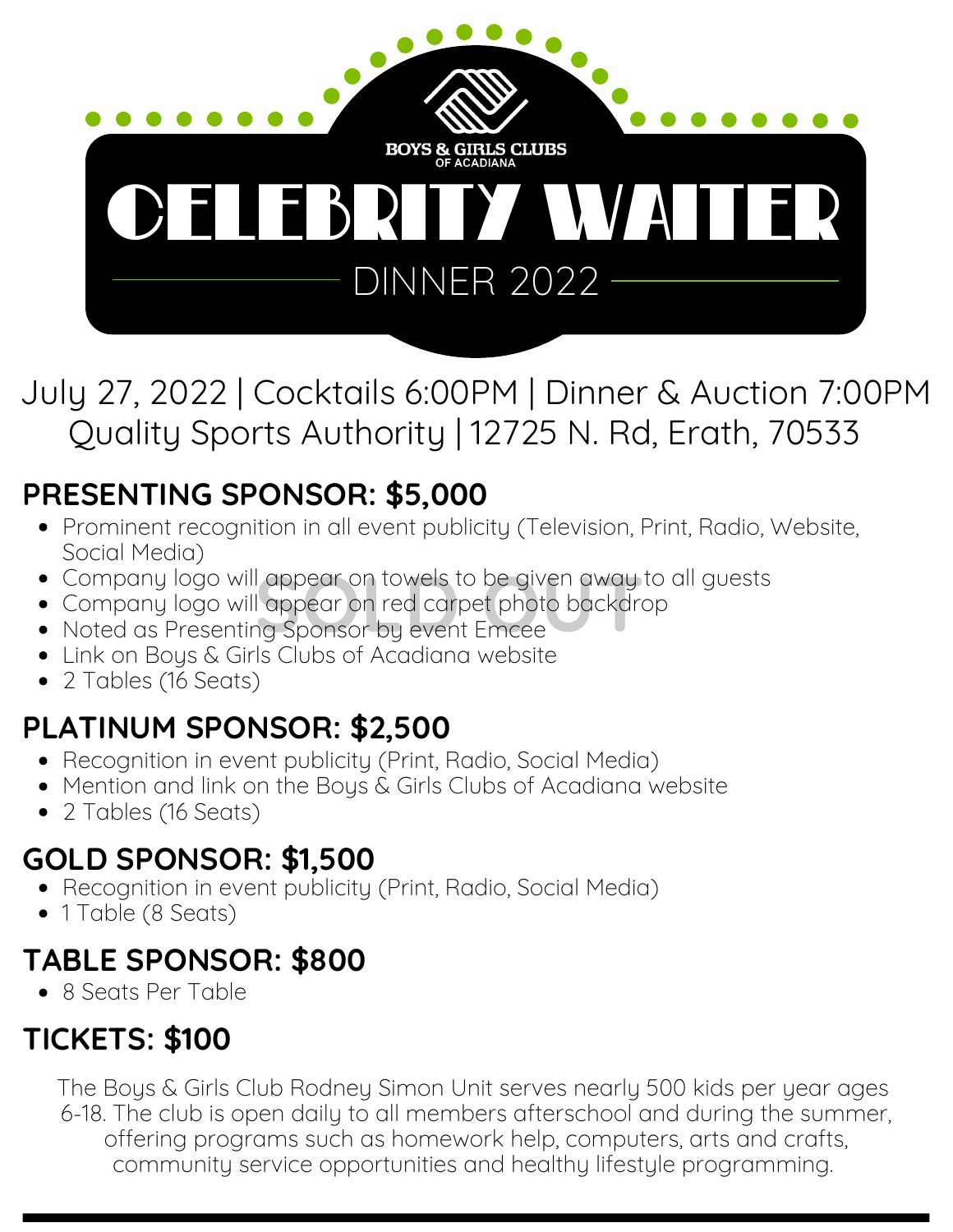

July 27, 2022 | Cocktails 6:00PM | Dinner & Auction 7:00PM Quality Sports Authority | 12725 N. Rd, Erath, 70533

# **PRESENTING SPONSOR: \$5,000**

- Prominent recognition in all event publicity (Television, Print, Radio, Website, Social Media)
- Company logo will appear on towels to be given away to all guests
- Company logo will appear on red carpet photo backdrop l appear on towels to be given away to<br>l appear on red carpet photo backdror<br>1g Sponsor by event Emcee
- Noted as Presenting Sponsor by event Emcee
- Link on Boys & Girls Clubs of Acadiana website
- 2 Tables (16 Seats)

## **PLATINUM SPONSOR: \$2,500**

- Recognition in event publicity (Print, Radio, Social Media)
- Mention and link on the Boys & Girls Clubs of Acadiana website
- 2 Tables (16 Seats)

### **GOLD SPONSOR: \$1,500**

- Recognition in event publicity (Print, Radio, Social Media)
- 1 Table (8 Seats)

## **TABLE SPONSOR: \$800**

• 8 Seats Per Table

## **TICKETS: \$100**

The Boys & Girls Club Rodney Simon Unit serves nearly 500 kids per year ages 6-18. The club is open daily to all members afterschool and during the summer, offering programs such as homework help, computers, arts and crafts, community service opportunities and healthy lifestyle programming.